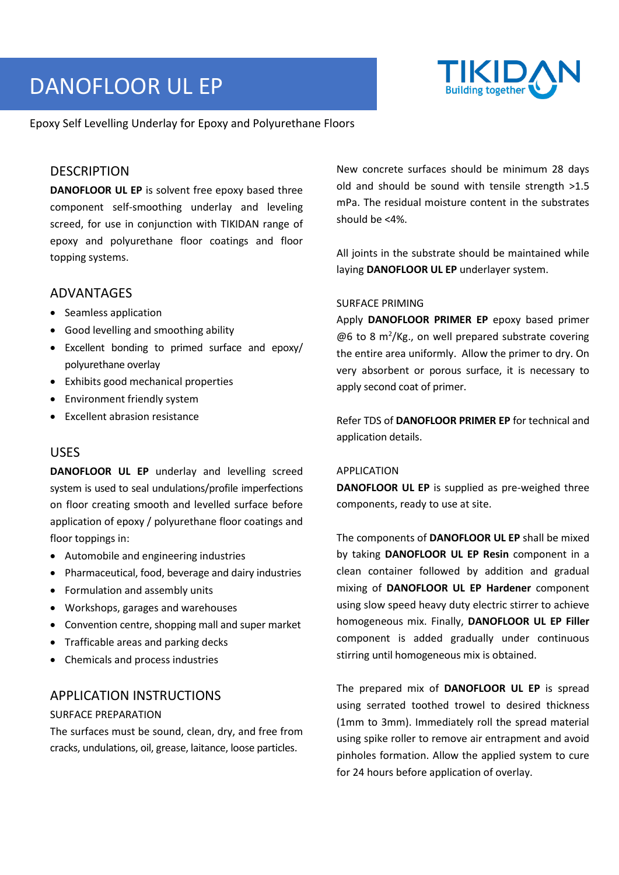# DANOFLOOR UL EP



Epoxy Self Levelling Underlay for Epoxy and Polyurethane Floors

#### DESCRIPTION

**DANOFLOOR UL EP** is solvent free epoxy based three component self-smoothing underlay and leveling screed, for use in conjunction with TIKIDAN range of epoxy and polyurethane floor coatings and floor topping systems.

#### ADVANTAGES

- Seamless application
- Good levelling and smoothing ability
- Excellent bonding to primed surface and epoxy/ polyurethane overlay
- Exhibits good mechanical properties
- Environment friendly system
- Excellent abrasion resistance

### USES

**DANOFLOOR UL EP** underlay and levelling screed system is used to seal undulations/profile imperfections on floor creating smooth and levelled surface before application of epoxy / polyurethane floor coatings and floor toppings in:

- Automobile and engineering industries
- Pharmaceutical, food, beverage and dairy industries
- Formulation and assembly units
- Workshops, garages and warehouses
- Convention centre, shopping mall and super market
- Trafficable areas and parking decks
- Chemicals and process industries

#### APPLICATION INSTRUCTIONS

#### SURFACE PREPARATION

The surfaces must be sound, clean, dry, and free from cracks, undulations, oil, grease, laitance, loose particles.

New concrete surfaces should be minimum 28 days old and should be sound with tensile strength >1.5 mPa. The residual moisture content in the substrates should be <4%.

All joints in the substrate should be maintained while laying **DANOFLOOR UL EP** underlayer system.

#### SURFACE PRIMING

Apply **DANOFLOOR PRIMER EP** epoxy based primer  $@6$  to 8 m<sup>2</sup>/Kg., on well prepared substrate covering the entire area uniformly. Allow the primer to dry. On very absorbent or porous surface, it is necessary to apply second coat of primer.

Refer TDS of **DANOFLOOR PRIMER EP** for technical and application details.

#### APPLICATION

**DANOFLOOR UL EP** is supplied as pre-weighed three components, ready to use at site.

The components of **DANOFLOOR UL EP** shall be mixed by taking **DANOFLOOR UL EP Resin** component in a clean container followed by addition and gradual mixing of **DANOFLOOR UL EP Hardener** component using slow speed heavy duty electric stirrer to achieve homogeneous mix. Finally, **DANOFLOOR UL EP Filler** component is added gradually under continuous stirring until homogeneous mix is obtained.

The prepared mix of **DANOFLOOR UL EP** is spread using serrated toothed trowel to desired thickness (1mm to 3mm). Immediately roll the spread material using spike roller to remove air entrapment and avoid pinholes formation. Allow the applied system to cure for 24 hours before application of overlay.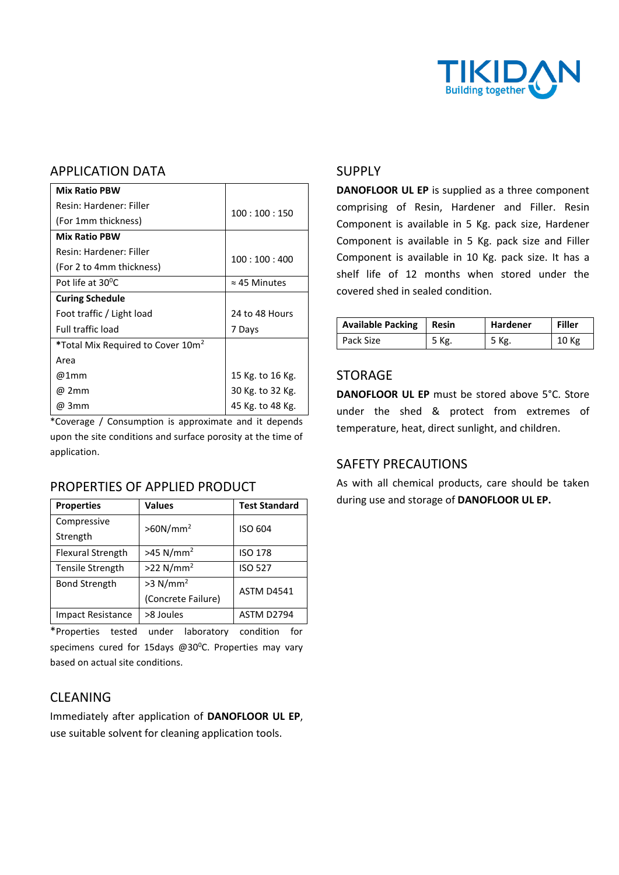

## APPLICATION DATA

| <b>Mix Ratio PBW</b>                          |                      |  |
|-----------------------------------------------|----------------------|--|
| Resin: Hardener: Filler                       | 100:100:150          |  |
| (For 1mm thickness)                           |                      |  |
| <b>Mix Ratio PBW</b>                          |                      |  |
| Resin: Hardener: Filler                       | 100:100:400          |  |
| (For 2 to 4mm thickness)                      |                      |  |
| Pot life at $30^{\circ}$ C                    | $\approx$ 45 Minutes |  |
| <b>Curing Schedule</b>                        |                      |  |
| Foot traffic / Light load                     | 24 to 48 Hours       |  |
| <b>Full traffic load</b>                      | 7 Days               |  |
| *Total Mix Required to Cover 10m <sup>2</sup> |                      |  |
| Area                                          |                      |  |
| @1mm                                          | 15 Kg. to 16 Kg.     |  |
| @ 2mm                                         | 30 Kg. to 32 Kg.     |  |
| @ 3mm                                         | 45 Kg. to 48 Kg.     |  |

\*Coverage / Consumption is approximate and it depends upon the site conditions and surface porosity at the time of application.

### PROPERTIES OF APPLIED PRODUCT

| <b>Properties</b>        | <b>Values</b>           | <b>Test Standard</b> |  |
|--------------------------|-------------------------|----------------------|--|
| Compressive              | $>60N/mm^2$             | ISO 604              |  |
| Strength                 |                         |                      |  |
| <b>Flexural Strength</b> | $>45$ N/mm <sup>2</sup> | <b>ISO 178</b>       |  |
| Tensile Strength         | $>22$ N/mm <sup>2</sup> | <b>ISO 527</b>       |  |
| <b>Bond Strength</b>     | $>3$ N/mm <sup>2</sup>  | <b>ASTM D4541</b>    |  |
|                          | (Concrete Failure)      |                      |  |
| <b>Impact Resistance</b> | >8 Joules               | ASTM D2794           |  |

\*Properties tested under laboratory condition for specimens cured for 15days @30 $^{\circ}$ C. Properties may vary based on actual site conditions.

### CLEANING

Immediately after application of **DANOFLOOR UL EP**, use suitable solvent for cleaning application tools.

### SUPPLY

**DANOFLOOR UL EP** is supplied as a three component comprising of Resin, Hardener and Filler. Resin Component is available in 5 Kg. pack size, Hardener Component is available in 5 Kg. pack size and Filler Component is available in 10 Kg. pack size. It has a shelf life of 12 months when stored under the covered shed in sealed condition.

| Available Packing | Resin | <b>Hardener</b> | Filler |
|-------------------|-------|-----------------|--------|
| Pack Size         | 5 Kg. | 5 Kg.           | 10 Kg  |

### STORAGE

**DANOFLOOR UL EP** must be stored above 5°C. Store under the shed & protect from extremes of temperature, heat, direct sunlight, and children.

## SAFETY PRECAUTIONS

As with all chemical products, care should be taken during use and storage of **DANOFLOOR UL EP.**